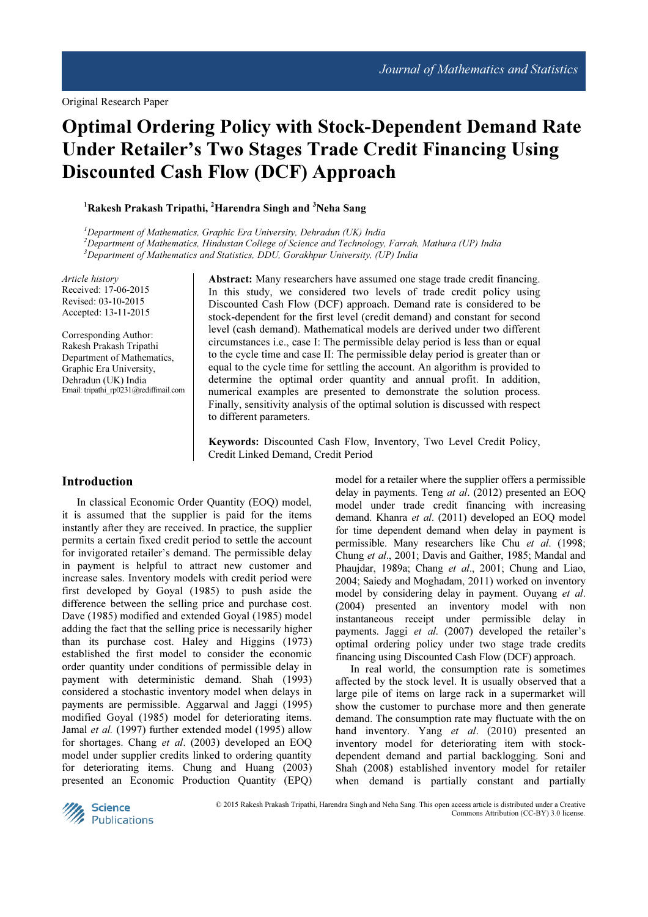# Optimal Ordering Policy with Stock-Dependent Demand Rate Under Retailer's Two Stages Trade Credit Financing Using Discounted Cash Flow (DCF) Approach

 $1R$ akesh Prakash Tripathi,  $2$ Harendra Singh and  $3$ Neha Sang

 $1$ Department of Mathematics, Graphic Era University, Dehradun (UK) India  $^{2}$ Department of Mathematics, Hindustan College of Science and Technology, Farrah, Mathura (UP) India  $3$ Department of Mathematics and Statistics, DDU, Gorakhpur University, (UP) India

Article history Received: 17-06-2015 Revised: 03-10-2015 Accepted: 13-11-2015

Corresponding Author: Rakesh Prakash Tripathi Department of Mathematics, Graphic Era University, Dehradun (UK) India Email: tripathi\_rp0231@rediffmail.com Abstract: Many researchers have assumed one stage trade credit financing. In this study, we considered two levels of trade credit policy using Discounted Cash Flow (DCF) approach. Demand rate is considered to be stock-dependent for the first level (credit demand) and constant for second level (cash demand). Mathematical models are derived under two different circumstances i.e., case I: The permissible delay period is less than or equal to the cycle time and case II: The permissible delay period is greater than or equal to the cycle time for settling the account. An algorithm is provided to determine the optimal order quantity and annual profit. In addition, numerical examples are presented to demonstrate the solution process. Finally, sensitivity analysis of the optimal solution is discussed with respect to different parameters.

Keywords: Discounted Cash Flow, Inventory, Two Level Credit Policy, Credit Linked Demand, Credit Period

## Introduction

In classical Economic Order Quantity (EOQ) model, it is assumed that the supplier is paid for the items instantly after they are received. In practice, the supplier permits a certain fixed credit period to settle the account for invigorated retailer's demand. The permissible delay in payment is helpful to attract new customer and increase sales. Inventory models with credit period were first developed by Goyal (1985) to push aside the difference between the selling price and purchase cost. Dave (1985) modified and extended Goyal (1985) model adding the fact that the selling price is necessarily higher than its purchase cost. Haley and Higgins (1973) established the first model to consider the economic order quantity under conditions of permissible delay in payment with deterministic demand. Shah (1993) considered a stochastic inventory model when delays in payments are permissible. Aggarwal and Jaggi (1995) modified Goyal (1985) model for deteriorating items. Jamal et al. (1997) further extended model (1995) allow for shortages. Chang et al. (2003) developed an EOQ model under supplier credits linked to ordering quantity for deteriorating items. Chung and Huang (2003) presented an Economic Production Quantity (EPQ)

model for a retailer where the supplier offers a permissible delay in payments. Teng at al. (2012) presented an EOQ model under trade credit financing with increasing demand. Khanra et al. (2011) developed an EOQ model for time dependent demand when delay in payment is permissible. Many researchers like Chu et al. (1998; Chung et al., 2001; Davis and Gaither, 1985; Mandal and Phaujdar, 1989a; Chang et al., 2001; Chung and Liao, 2004; Saiedy and Moghadam, 2011) worked on inventory model by considering delay in payment. Ouyang et al. (2004) presented an inventory model with non instantaneous receipt under permissible delay in payments. Jaggi et al. (2007) developed the retailer's optimal ordering policy under two stage trade credits financing using Discounted Cash Flow (DCF) approach.

In real world, the consumption rate is sometimes affected by the stock level. It is usually observed that a large pile of items on large rack in a supermarket will show the customer to purchase more and then generate demand. The consumption rate may fluctuate with the on hand inventory. Yang et al. (2010) presented an inventory model for deteriorating item with stockdependent demand and partial backlogging. Soni and Shah (2008) established inventory model for retailer when demand is partially constant and partially



© 2015 Rakesh Prakash Tripathi, Harendra Singh and Neha Sang. This open access article is distributed under a Creative Commons Attribution (CC-BY) 3.0 license.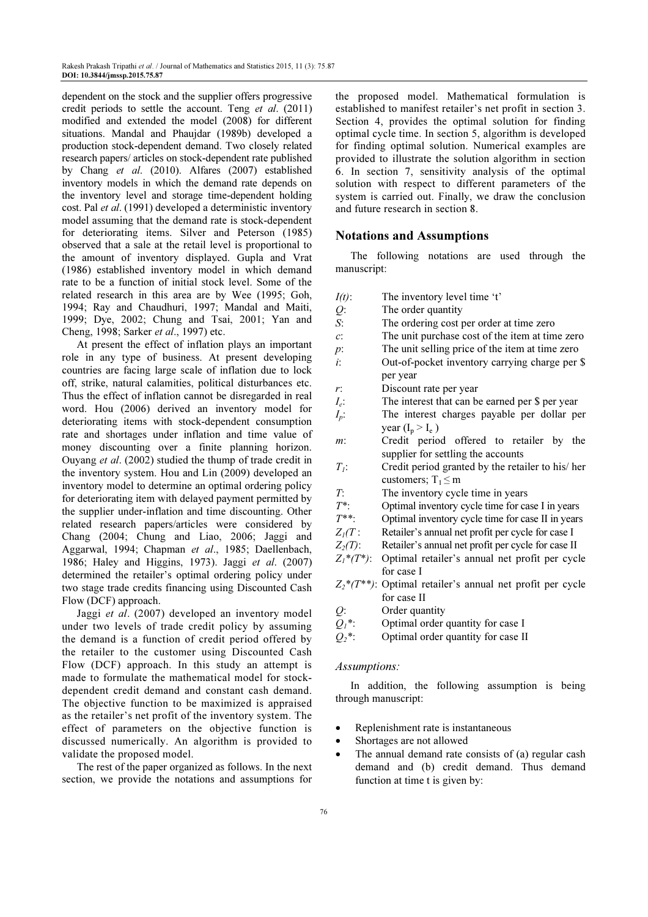dependent on the stock and the supplier offers progressive credit periods to settle the account. Teng et al. (2011) modified and extended the model (2008) for different situations. Mandal and Phaujdar (1989b) developed a production stock-dependent demand. Two closely related research papers/ articles on stock-dependent rate published by Chang et al. (2010). Alfares (2007) established inventory models in which the demand rate depends on the inventory level and storage time-dependent holding cost. Pal et al. (1991) developed a deterministic inventory model assuming that the demand rate is stock-dependent for deteriorating items. Silver and Peterson (1985) observed that a sale at the retail level is proportional to the amount of inventory displayed. Gupla and Vrat (1986) established inventory model in which demand rate to be a function of initial stock level. Some of the related research in this area are by Wee (1995; Goh, 1994; Ray and Chaudhuri, 1997; Mandal and Maiti, 1999; Dye, 2002; Chung and Tsai, 2001; Yan and Cheng, 1998; Sarker et al., 1997) etc.

At present the effect of inflation plays an important role in any type of business. At present developing countries are facing large scale of inflation due to lock off, strike, natural calamities, political disturbances etc. Thus the effect of inflation cannot be disregarded in real word. Hou (2006) derived an inventory model for deteriorating items with stock-dependent consumption rate and shortages under inflation and time value of money discounting over a finite planning horizon. Ouyang et al. (2002) studied the thump of trade credit in the inventory system. Hou and Lin (2009) developed an inventory model to determine an optimal ordering policy for deteriorating item with delayed payment permitted by the supplier under-inflation and time discounting. Other related research papers/articles were considered by Chang (2004; Chung and Liao, 2006; Jaggi and Aggarwal, 1994; Chapman et al., 1985; Daellenbach, 1986; Haley and Higgins, 1973). Jaggi et al. (2007) determined the retailer's optimal ordering policy under two stage trade credits financing using Discounted Cash Flow (DCF) approach.

Jaggi et al. (2007) developed an inventory model under two levels of trade credit policy by assuming the demand is a function of credit period offered by the retailer to the customer using Discounted Cash Flow (DCF) approach. In this study an attempt is made to formulate the mathematical model for stockdependent credit demand and constant cash demand. The objective function to be maximized is appraised as the retailer's net profit of the inventory system. The effect of parameters on the objective function is discussed numerically. An algorithm is provided to validate the proposed model.

The rest of the paper organized as follows. In the next section, we provide the notations and assumptions for

the proposed model. Mathematical formulation is established to manifest retailer's net profit in section 3. Section 4, provides the optimal solution for finding optimal cycle time. In section 5, algorithm is developed for finding optimal solution. Numerical examples are provided to illustrate the solution algorithm in section 6. In section 7, sensitivity analysis of the optimal solution with respect to different parameters of the system is carried out. Finally, we draw the conclusion and future research in section 8.

#### Notations and Assumptions

The following notations are used through the manuscript:

- $I(t)$ : The inventory level time 't'
- Q: The order quantity
- S: The ordering cost per order at time zero
- c: The unit purchase cost of the item at time zero
- p: The unit selling price of the item at time zero
- i: Out-of-pocket inventory carrying charge per \$ per year
- r: Discount rate per year
- $I_e$ : The interest that can be earned per \$ per year
- $I_n$ : The interest charges payable per dollar per year ( $I_p > I_e$ )
- m: Credit period offered to retailer by the supplier for settling the accounts
- $T_1$ : Credit period granted by the retailer to his/her customers;  $T_1 \le m$
- $T$ : The inventory cycle time in years<br> $T^*$ : Optimal inventory cycle time for ca
- $T^*$ : Optimal inventory cycle time for case I in years<br> $T^{**}$ : Optimal inventory cycle time for case II in years
- Optimal inventory cycle time for case II in years
- $Z_1(T:$  Retailer's annual net profit per cycle for case I<br> $Z_2(T):$  Retailer's annual net profit per cycle for case II
- Retailer's annual net profit per cycle for case II
- $Z_1^*(T^*)$ : Optimal retailer's annual net profit per cycle for case I
- $Z_2^*(T^{**})$ : Optimal retailer's annual net profit per cycle for case II
- Q: Order quantity<br> $Q_i^*$ : Optimal order
- Optimal order quantity for case I
- $Q_2^*$ : Optimal order quantity for case II

#### Assumptions:

In addition, the following assumption is being through manuscript:

- Replenishment rate is instantaneous
- Shortages are not allowed
- The annual demand rate consists of (a) regular cash demand and (b) credit demand. Thus demand function at time t is given by: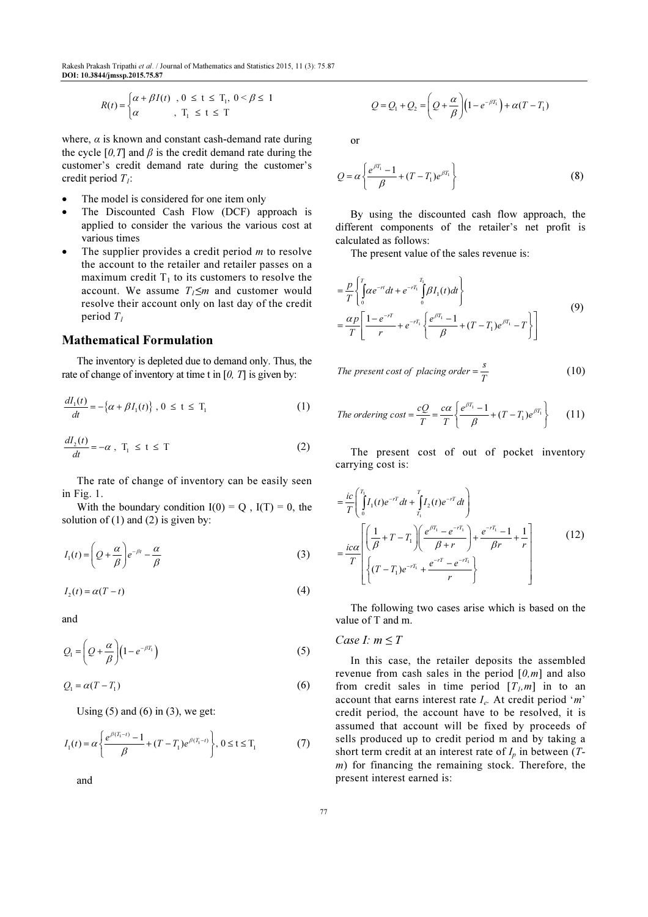Rakesh Prakash Tripathi et al. / Journal of Mathematics and Statistics 2015, 11 (3): 75.87 DOI: 10.3844/jmssp.2015.75.87

$$
R(t) = \begin{cases} \alpha + \beta I(t) & , 0 \le t \le T_1, \ 0 < \beta \le 1 \\ \alpha & , \ T_1 \le t \le T \end{cases}
$$

where,  $\alpha$  is known and constant cash-demand rate during the cycle  $[0, T]$  and  $\beta$  is the credit demand rate during the customer's credit demand rate during the customer's credit period  $T_i$ :

- The model is considered for one item only
- The Discounted Cash Flow (DCF) approach is applied to consider the various the various cost at various times
- The supplier provides a credit period  $m$  to resolve the account to the retailer and retailer passes on a maximum credit  $T_1$  to its customers to resolve the account. We assume  $T_1 \leq m$  and customer would resolve their account only on last day of the credit period  $T_1$

# Mathematical Formulation

The inventory is depleted due to demand only. Thus, the rate of change of inventory at time t in  $[0, T]$  is given by:

$$
\frac{dI_1(t)}{dt} = -\left\{\alpha + \beta I_1(t)\right\}, \ 0 \le t \le T_1 \tag{1}
$$

$$
\frac{dI_2(t)}{dt} = -\alpha \ , \ T_1 \le t \le T \tag{2}
$$

The rate of change of inventory can be easily seen in Fig. 1.

With the boundary condition  $I(0) = Q$ ,  $I(T) = 0$ , the solution of  $(1)$  and  $(2)$  is given by:

$$
I_1(t) = \left(Q + \frac{\alpha}{\beta}\right)e^{-\beta t} - \frac{\alpha}{\beta}
$$
 (3)

$$
I_2(t) = \alpha(T - t) \tag{4}
$$

and

$$
Q_1 = \left(Q + \frac{\alpha}{\beta}\right)\left(1 - e^{-\beta T_1}\right) \tag{5}
$$

$$
Q_1 = \alpha (T - T_1) \tag{6}
$$

Using  $(5)$  and  $(6)$  in  $(3)$ , we get:

$$
I_1(t) = \alpha \left\{ \frac{e^{\beta(T_1 - t)} - 1}{\beta} + (T - T_1)e^{\beta(T_1 - t)} \right\}, 0 \le t \le T_1
$$
 (7)

and

$$
Q = Q_1 + Q_2 = \left(Q + \frac{\alpha}{\beta}\right)\left(1 - e^{-\beta T_1}\right) + \alpha(T - T_1)
$$

or

$$
Q = \alpha \left\{ \frac{e^{\beta T_1} - 1}{\beta} + (T - T_1)e^{\beta T_1} \right\}
$$
 (8)

By using the discounted cash flow approach, the different components of the retailer's net profit is calculated as follows:

The present value of the sales revenue is:

$$
= \frac{p}{T} \left\{ \int_{0}^{T} \alpha e^{-rt} dt + e^{-rT_1} \int_{0}^{T_1} \beta I_1(t) dt \right\}
$$
  
= 
$$
\frac{\alpha p}{T} \left[ \frac{1 - e^{-rT}}{r} + e^{-rT_1} \left\{ \frac{e^{\beta T_1} - 1}{\beta} + (T - T_1)e^{\beta T_1} - T \right\} \right]
$$
(9)

The present cost of placing order 
$$
=\frac{s}{T}
$$
 (10)

The ordering cost = 
$$
\frac{cQ}{T} = \frac{c\alpha}{T} \left\{ \frac{e^{\beta T_1} - 1}{\beta} + (T - T_1)e^{\beta T_1} \right\}
$$
 (11)

The present cost of out of pocket inventory carrying cost is:

$$
= \frac{ic}{T} \left( \int_{0}^{T_1} I_1(t) e^{-rT} dt + \int_{T_1}^{T} I_2(t) e^{-rT} dt \right)
$$
  
\n
$$
= \frac{ic\alpha}{T} \left[ \left( \frac{1}{\beta} + T - T_1 \right) \left( \frac{e^{\beta T_1} - e^{-rT_1}}{\beta + r} \right) + \frac{e^{-rT_1} - 1}{\beta r} + \frac{1}{r} \right]
$$
(12)  
\n
$$
\left\{ (T - T_1) e^{-rT_1} + \frac{e^{-rT} - e^{-rT_1}}{r} \right\}
$$

The following two cases arise which is based on the value of T and m.

## Case I:  $m \leq T$

In this case, the retailer deposits the assembled revenue from cash sales in the period  $[0,m]$  and also from credit sales in time period  $[T_l, m]$  in to an account that earns interest rate  $I_e$ . At credit period 'm' credit period, the account have to be resolved, it is assumed that account will be fixed by proceeds of sells produced up to credit period m and by taking a short term credit at an interest rate of  $I_p$  in between (T $m$ ) for financing the remaining stock. Therefore, the present interest earned is: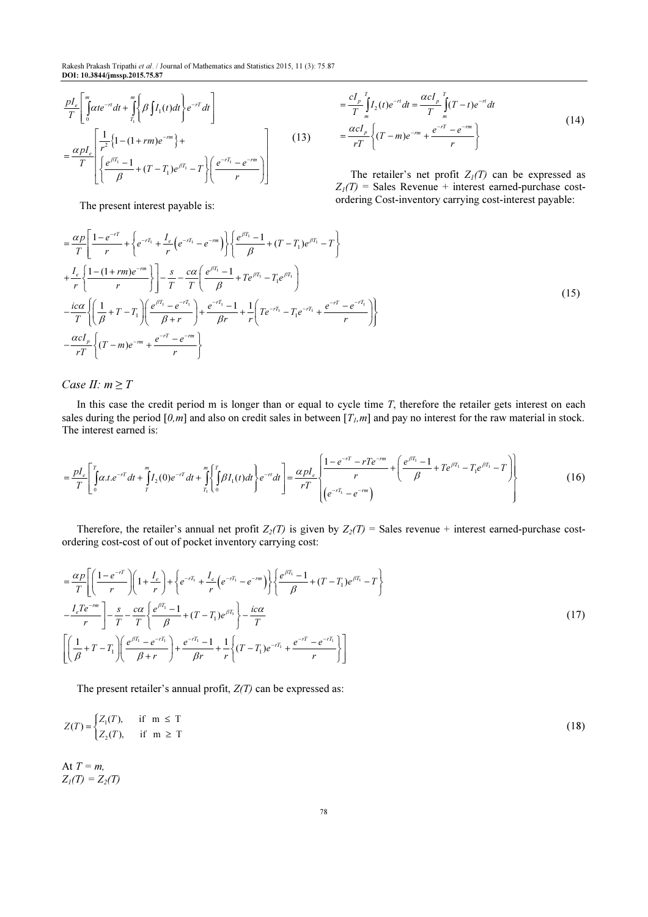$$
\frac{pI_e}{T} \left[ \int_0^m \alpha t e^{-rt} dt + \int_{T_1}^m \left\{ \beta \int I_1(t) dt \right\} e^{-rT} dt \right]
$$
\n
$$
= \frac{\alpha pI_e}{T} \left[ \frac{1}{r^2} \left\{ 1 - (1 + rm)e^{-rm} \right\} + \frac{1}{\beta} \left\{ \frac{e^{\beta T_1} - 1}{\beta} + (T - T_1)e^{\beta T_1} - T \right\} \left( \frac{e^{-rT_1} - e^{-rm}}{r} \right) \right]
$$
\n(13)

$$
= \frac{cI_p}{T} \int_{m}^{T} I_2(t)e^{-rt}dt = \frac{\alpha cI_p}{T} \int_{m}^{T} (T-t)e^{-rt}dt
$$
  
= 
$$
\frac{\alpha cI_p}{rT} \left\{ (T-m)e^{-rm} + \frac{e^{-rT} - e^{-rm}}{r} \right\}
$$
 (14)

The retailer's net profit  $Z_1(T)$  can be expressed as  $Z_1(T)$  = Sales Revenue + interest earned-purchase costordering Cost-inventory carrying cost-interest payable:

The present interest payable is:

$$
= \frac{\alpha p}{T} \left[ \frac{1 - e^{-rT}}{r} + \left\{ e^{-rT_1} + \frac{I_e}{r} \left( e^{-rT_1} - e^{-rT_1} \right) \right\} \left\{ \frac{e^{\beta T_1} - 1}{\beta} + (T - T_1) e^{\beta T_1} - T \right\} \right]
$$
  
+ 
$$
\frac{I_e}{r} \left\{ \frac{1 - (1 + rm)e^{-rm}}{r} \right\} \left[ -\frac{s}{T} - \frac{c\alpha}{T} \left( \frac{e^{\beta T_1} - 1}{\beta} + Te^{\beta T_1} - T_1 e^{\beta T_1} \right) \right]
$$
  
- 
$$
\frac{ic\alpha}{T} \left\{ \left( \frac{1}{\beta} + T - T_1 \right) \left( \frac{e^{\beta T_1} - e^{-rT_1}}{\beta + r} \right) + \frac{e^{-rT_1} - 1}{\beta r} + \frac{1}{r} \left( Te^{-rT_1} - T_1 e^{-rT_1} + \frac{e^{-rT} - e^{-rT_1}}{r} \right) \right\}
$$
  
- 
$$
\frac{\alpha cI_p}{rT} \left\{ (T - m)e^{-rm} + \frac{e^{-rT} - e^{-rm}}{r} \right\}
$$
 (15)

Case II:  $m \geq T$ 

In this case the credit period m is longer than or equal to cycle time  $T$ , therefore the retailer gets interest on each sales during the period  $[0,m]$  and also on credit sales in between  $[T_l,m]$  and pay no interest for the raw material in stock. The interest earned is:

$$
=\frac{pI_e}{T}\left[\int_0^r \alpha t \cdot e^{-rT} dt + \int_0^m I_2(0)e^{-rT} dt + \int_{T_1}^m \left\{ \int_0^T \beta I_1(t)dt \right\} e^{-rt} dt \right] = \frac{\alpha pI_e}{rT}\left\{ \frac{1 - e^{-rT} - rTe^{-rm}}{r} + \left( \frac{e^{\beta T_1} - 1}{\beta} + Te^{\beta T_1} - T_1e^{\beta T_1} - T \right) \right\}
$$
(16)

Therefore, the retailer's annual net profit  $Z_2(T)$  is given by  $Z_2(T) =$  Sales revenue + interest earned-purchase costordering cost-cost of out of pocket inventory carrying cost:

$$
= \frac{\alpha p}{T} \left[ \left( \frac{1 - e^{-rT}}{r} \right) \left( 1 + \frac{I_e}{r} \right) + \left\{ e^{-rT_1} + \frac{I_e}{r} \left( e^{-rT_1} - e^{-rm} \right) \right\} \left\{ \frac{e^{\beta T_1} - 1}{\beta} + (T - T_1)e^{\beta T_1} - T \right\} \right]
$$
  
\n
$$
- \frac{I_e T e^{-rm}}{r} \right] - \frac{s}{T} - \frac{c\alpha}{T} \left\{ \frac{e^{\beta T_1} - 1}{\beta} + (T - T_1)e^{\beta T_1} \right\} - \frac{ic\alpha}{T}
$$
  
\n
$$
\left[ \left( \frac{1}{\beta} + T - T_1 \right) \left( \frac{e^{\beta T_1} - e^{-rT_1}}{\beta + r} \right) + \frac{e^{-rT_1} - 1}{\beta r} + \frac{1}{r} \left\{ (T - T_1)e^{-rT_1} + \frac{e^{-rT} - e^{-rT_1}}{r} \right\} \right]
$$
  
\n(17)

The present retailer's annual profit,  $Z(T)$  can be expressed as:

$$
Z(T) = \begin{cases} Z_1(T), & \text{if } m \le T \\ Z_2(T), & \text{if } m \ge T \end{cases} \tag{18}
$$

At  $T = m$ ,  $Z_1(T) = Z_2(T)$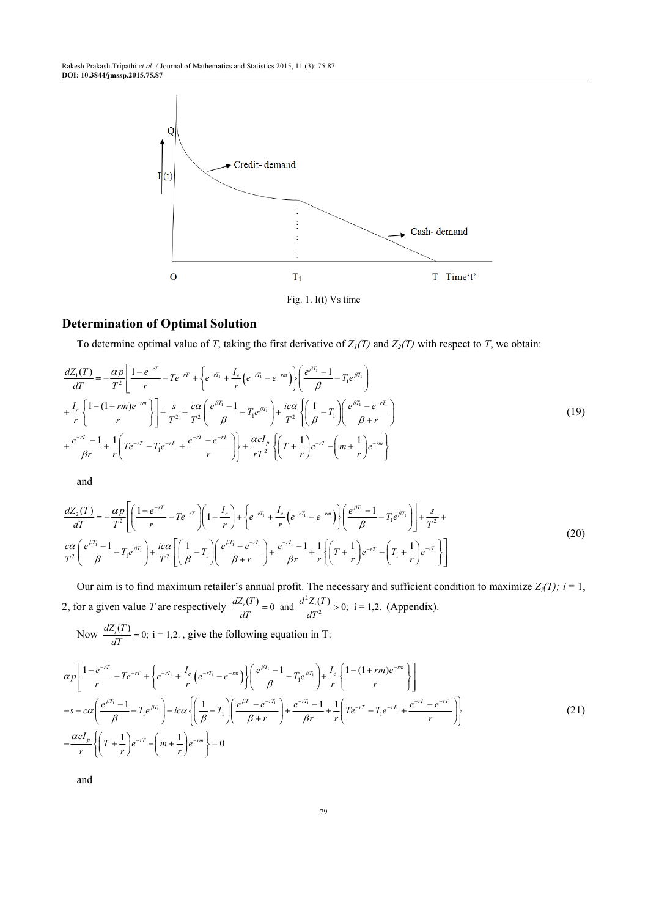Rakesh Prakash Tripathi et al. / Journal of Mathematics and Statistics 2015, 11 (3): 75.87 DOI: 10.3844/jmssp.2015.75.87



## Determination of Optimal Solution

To determine optimal value of T, taking the first derivative of  $Z_1(T)$  and  $Z_2(T)$  with respect to T, we obtain:

$$
\frac{dZ_1(T)}{dT} = -\frac{\alpha p}{T^2} \left[ \frac{1 - e^{-rT}}{r} - T e^{-rT} + \left\{ e^{-rT_1} + \frac{I_e}{r} \left( e^{-rT_1} - e^{-rm}\right) \right\} \left( \frac{e^{\beta T_1} - 1}{\beta} - T_1 e^{\beta T_1} \right) \right]
$$
\n
$$
+ \frac{I_e}{r} \left\{ \frac{1 - (1 + rm)e^{-rm}}{r} \right\} + \frac{s}{T^2} + \frac{c\alpha}{T^2} \left( \frac{e^{\beta T_1} - 1}{\beta} - T_1 e^{\beta T_1} \right) + \frac{ic\alpha}{T^2} \left\{ \left( \frac{1}{\beta} - T_1 \right) \left( \frac{e^{\beta T_1} - e^{-rT_1}}{\beta + r} \right) \right\}
$$
\n
$$
+ \frac{e^{-rT_1} - 1}{\beta r} + \frac{1}{r} \left( T e^{-rT} - T_1 e^{-rT_1} + \frac{e^{-rT} - e^{-rT_1}}{r} \right) \right\} + \frac{\alpha cI_p}{rT^2} \left\{ \left( T + \frac{1}{r} \right) e^{-rT} - \left( m + \frac{1}{r} \right) e^{-rm} \right\}
$$
\n(19)

and

$$
\frac{dZ_2(T)}{dT} = -\frac{\alpha p}{T^2} \left[ \left( \frac{1 - e^{-rT}}{r} - T e^{-rT} \right) \left( 1 + \frac{I_e}{r} \right) + \left\{ e^{-rT_1} + \frac{I_e}{r} \left( e^{-rT_1} - e^{-rT} \right) \right\} \left( \frac{e^{\beta T_1} - 1}{\beta} - T_1 e^{\beta T_1} \right) \right] + \frac{s}{T^2} + \frac{\alpha \alpha}{T^2} \left[ \frac{e^{\beta T_1} - 1}{\beta} - T_1 e^{\beta T_1} \right] + \frac{i c \alpha}{T^2} \left[ \left( \frac{1}{\beta} - T_1 \right) \left( \frac{e^{\beta T_1} - e^{-rT_1}}{\beta + r} \right) + \frac{e^{-rT_1} - 1}{\beta r} + \frac{1}{r} \left\{ \left( T + \frac{1}{r} \right) e^{-rT} - \left( T_1 + \frac{1}{r} \right) e^{-rT_1} \right\} \right]
$$
\n(20)

Our aim is to find maximum retailer's annual profit. The necessary and sufficient condition to maximize  $Z_i(T)$ ;  $i = 1$ , 2, for a given value T are respectively  $\frac{dZ_i(T)}{dT} = 0$  and  $\frac{d^2}{T}$  $\frac{dZ_i(T)}{dT} = 0$  and  $\frac{d^2Z_i(T)}{dT^2} > 0$ ; i = 1,2. (Appendix).

Now  $\frac{dZ_i(T)}{dT} = 0$ ; i = 1,2.  $\frac{dz_i(t)}{dT} = 0$ ; i = 1,2., give the following equation in T:

$$
\alpha p \left[ \frac{1 - e^{-rT}}{r} - T e^{-rT} + \left\{ e^{-rT_1} + \frac{I_e}{r} \left( e^{-rT_1} - e^{-rm} \right) \right\} \left( \frac{e^{\beta T_1} - 1}{\beta} - T_1 e^{\beta T_1} \right) + \frac{I_e}{r} \left\{ \frac{1 - (1 + rm)e^{-rm}}{r} \right\} \right]
$$
  
\n
$$
-s - c\alpha \left( \frac{e^{\beta T_1} - 1}{\beta} - T_1 e^{\beta T_1} \right) - ic\alpha \left\{ \left( \frac{1}{\beta} - T_1 \right) \left( \frac{e^{\beta T_1} - e^{-rT_1}}{\beta + r} \right) + \frac{e^{-rT_1} - 1}{\beta r} + \frac{1}{r} \left( T e^{-rT} - T_1 e^{-rT_1} + \frac{e^{-rT} - e^{-rT_1}}{r} \right) \right\}
$$
  
\n
$$
- \frac{\alpha c I_p}{r} \left\{ \left( T + \frac{1}{r} \right) e^{-rT} - \left( m + \frac{1}{r} \right) e^{-rm} \right\} = 0
$$
 (21)

and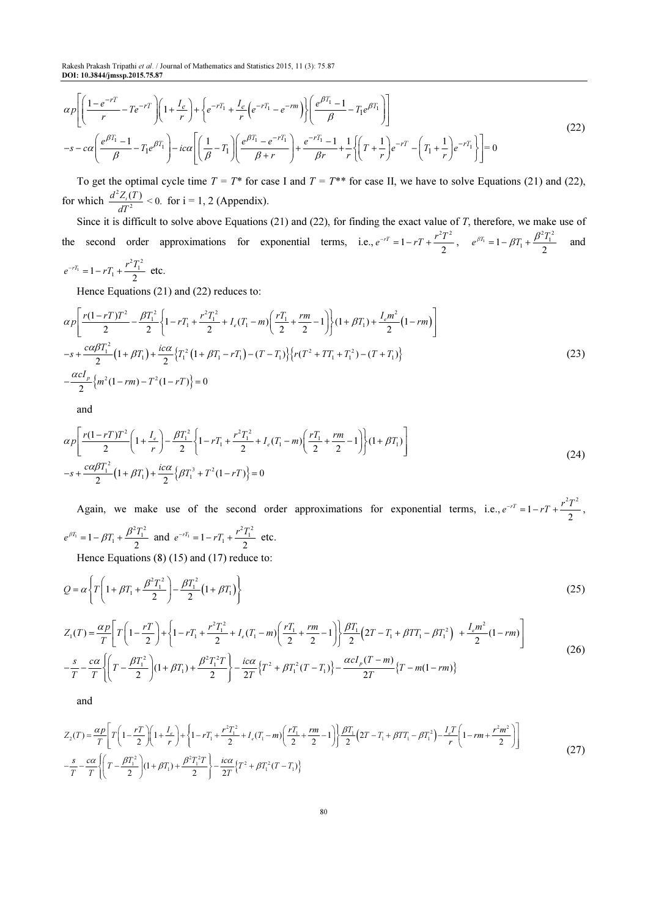Rakesh Prakash Tripathi et al. / Journal of Mathematics and Statistics 2015, 11 (3): 75.87 DOI: 10.3844/jmssp.2015.75.87

$$
\alpha p \left[ \left( \frac{1 - e^{-rT}}{r} - T e^{-rT} \right) \left( 1 + \frac{I_e}{r} \right) + \left\{ e^{-rT_1} + \frac{I_e}{r} \left( e^{-rT_1} - e^{-rm} \right) \right\} \left( \frac{e^{\beta T_1} - 1}{\beta} - T_1 e^{\beta T_1} \right) \right]
$$
\n
$$
-s - c\alpha \left( \frac{e^{\beta T_1} - 1}{\beta} - T_1 e^{\beta T_1} \right) - ic\alpha \left[ \left( \frac{1}{\beta} - T_1 \right) \left( \frac{e^{\beta T_1} - e^{-rT_1}}{\beta + r} \right) + \frac{e^{-rT_1} - 1}{\beta r} + \frac{1}{r} \left\{ \left( T + \frac{1}{r} \right) e^{-rT} - \left( T_1 + \frac{1}{r} \right) e^{-rT_1} \right\} \right] = 0
$$
\n(22)

To get the optimal cycle time  $T = T^*$  for case I and  $T = T^{**}$  for case II, we have to solve Equations (21) and (22), for which  $\frac{d^2}{dx^2}$  $\frac{d^2Z_i(T)}{dT^2}$  < 0. for i = 1, 2 (Appendix).

Since it is difficult to solve above Equations (21) and (22), for finding the exact value of T, therefore, we make use of the second order approximations for exponential terms, i.e.,  $e^{-rT} = 1 - rT + \frac{r^2T^2}{2}$ ,  $e^{\beta T_1} = 1 - \beta T_1 + \frac{\beta^2 T_1^2}{2}$  $e^{\beta T_1} = 1 - \beta T_1 + \frac{\beta^2 T_1^2}{2}$  and  $e^{-rT_1} = 1 - rT_1 + \frac{r^2T_1^2}{2}$  etc.

Hence Equations (21) and (22) reduces to:

$$
\alpha p \left[ \frac{r(1-rT)T^2}{2} - \frac{\beta T_1^2}{2} \left\{ 1 - rT_1 + \frac{r^2 T_1^2}{2} + I_e(T_1 - m) \left( \frac{rT_1}{2} + \frac{rm}{2} - 1 \right) \right\} (1 + \beta T_1) + \frac{I_e m^2}{2} (1 - rm) \right]
$$
  
\n
$$
-s + \frac{c\alpha\beta T_1^2}{2} (1 + \beta T_1) + \frac{ic\alpha}{2} \left\{ T_1^2 (1 + \beta T_1 - rT_1) - (T - T_1) \right\} \left\{ r(T^2 + TT_1 + T_1^2) - (T + T_1) \right\}
$$
  
\n
$$
- \frac{\alpha cI_p}{2} \left\{ m^2 (1 - rm) - T^2 (1 - rT) \right\} = 0
$$
\n(23)

and

$$
\alpha p \left[ \frac{r(1-rT)T^2}{2} \left( 1 + \frac{I_e}{r} \right) - \frac{\beta T_1^2}{2} \left\{ 1 - rT_1 + \frac{r^2 T_1^2}{2} + I_e (T_1 - m) \left( \frac{rT_1}{2} + \frac{rm}{2} - 1 \right) \right\} (1 + \beta T_1) \right]
$$
\n
$$
-s + \frac{c\alpha\beta T_1^2}{2} (1 + \beta T_1) + \frac{ic\alpha}{2} \left\{ \beta T_1^3 + T^2 (1 - rT) \right\} = 0
$$
\n(24)

Again, we make use of the second order approximations for exponential terms, i.e.,  $e^{-rT} = 1 - rT + \frac{r^2T^2}{2}$ ,  $\hat{H} = 1 - \beta T_1 + \frac{\beta^2 T_1^2}{2}$  $e^{\beta T_1} = 1 - \beta T_1 + \frac{\beta^2 T_1^2}{2}$  and  $e^{-rT_1} = 1 - rT_1 + \frac{r^2 T_1^2}{2}$  etc.

Hence Equations (8) (15) and (17) reduce to:

$$
Q = \alpha \left\{ T \left( 1 + \beta T_1 + \frac{\beta^2 T_1^2}{2} \right) - \frac{\beta T_1^2}{2} \left( 1 + \beta T_1 \right) \right\}
$$
 (25)

$$
Z_{1}(T) = \frac{\alpha p}{T} \left[ T \left( 1 - \frac{rT}{2} \right) + \left\{ 1 - rT_{1} + \frac{r^{2}T_{1}^{2}}{2} + I_{e}(T_{1} - m) \left( \frac{rT_{1}}{2} + \frac{rm}{2} - 1 \right) \right\} \frac{\beta T_{1}}{2} \left( 2T - T_{1} + \beta T T_{1} - \beta T_{1}^{2} \right) + \frac{I_{e}m^{2}}{2} (1 - rm) \right]
$$
\n
$$
- \frac{s}{T} - \frac{c\alpha}{T} \left\{ \left( T - \frac{\beta T_{1}^{2}}{2} \right) (1 + \beta T_{1}) + \frac{\beta^{2}T_{1}^{2}T}{2} \right\} - \frac{ic\alpha}{2T} \left\{ T^{2} + \beta T_{1}^{2} (T - T_{1}) \right\} - \frac{\alpha cI_{p} (T - m)}{2T} \left\{ T - m(1 - rm) \right\}
$$
\n(26)

and

$$
Z_{2}(T) = \frac{\alpha p}{T} \left[ T \left( 1 - \frac{rT}{2} \right) \left( 1 + \frac{I_{e}}{r} \right) + \left\{ 1 - rT_{1} + \frac{r^{2}T_{1}^{2}}{2} + I_{e}(T_{1} - m) \left( \frac{rT_{1}}{2} + \frac{rm}{2} - 1 \right) \right\} \frac{\beta T_{1}}{2} \left( 2T - T_{1} + \beta TT_{1} - \beta T_{1}^{2} \right) - \frac{I_{e}T}{r} \left( 1 - rm + \frac{r^{2}m^{2}}{2} \right) \right]
$$
\n
$$
- \frac{s}{T} - \frac{c\alpha}{T} \left\{ \left( T - \frac{\beta T_{1}^{2}}{2} \right) \left( 1 + \beta T_{1} \right) + \frac{\beta^{2}T_{1}^{2}T}{2} \right\} - \frac{ic\alpha}{2T} \left\{ T^{2} + \beta T_{1}^{2}(T - T_{1}) \right\}
$$
\n
$$
(27)
$$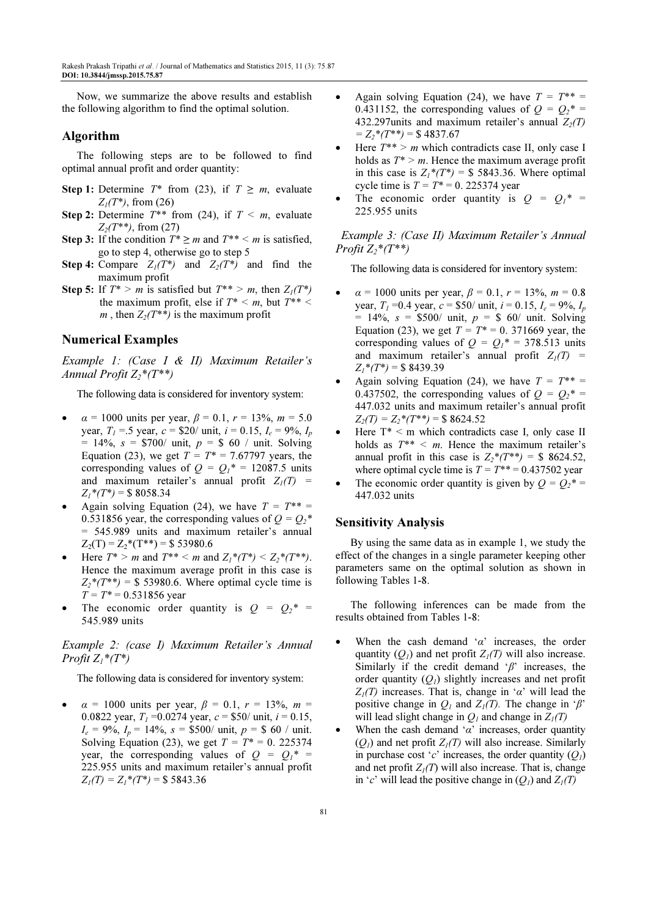Now, we summarize the above results and establish the following algorithm to find the optimal solution.

## Algorithm

The following steps are to be followed to find optimal annual profit and order quantity:

- Step 1: Determine  $T^*$  from (23), if  $T \ge m$ , evaluate  $Z_1(T^*)$ , from (26)
- **Step 2:** Determine  $T^{**}$  from (24), if  $T \le m$ , evaluate  $Z_2(T^{**})$ , from (27)
- Step 3: If the condition  $T^* \ge m$  and  $T^{**} \le m$  is satisfied, go to step 4, otherwise go to step 5
- **Step 4:** Compare  $Z_1(T^*)$  and  $Z_2(T^*)$  and find the maximum profit
- Step 5: If  $T^* > m$  is satisfied but  $T^{**} > m$ , then  $Z_1(T^*)$ the maximum profit, else if  $T^* \le m$ , but  $T^{**} \le$ m, then  $Z_2(T^{**})$  is the maximum profit

## Numerical Examples

Example 1: (Case I & II) Maximum Retailer's Annual Profit  $Z_2^*(T^{**})$ 

The following data is considered for inventory system:

- $\alpha = 1000$  units per year,  $\beta = 0.1$ ,  $r = 13\%$ ,  $m = 5.0$ year,  $T_1 = 5$  year,  $c = $20/$  unit,  $i = 0.15$ ,  $I_e = 9\%, I_p$  $= 14\%, s = $700/$  unit,  $p = $60/$  unit. Solving Equation (23), we get  $T = T^* = 7.67797$  years, the corresponding values of  $Q = Q_1^* = 12087.5$  units and maximum retailer's annual profit  $Z_1(T)$  =  $Z_1^*(T^*) = $8058.34$
- Again solving Equation (24), we have  $T = T^{**} =$ 0.531856 year, the corresponding values of  $Q = Q_2^*$ = 545.989 units and maximum retailer's annual  $Z_2(T) = Z_2^*(T^{**}) = $ 53980.6$
- Here  $T^* > m$  and  $T^{**} < m$  and  $Z_1^*(T^*) < Z_2^*(T^{**})$ . Hence the maximum average profit in this case is  $Z_2^*(T^{**}) =$  \$ 53980.6. Where optimal cycle time is  $T = T^* = 0.531856$  year
- The economic order quantity is  $Q = Q_2^* =$ 545.989 units

## Example 2: (case I) Maximum Retailer's Annual Profit  $Z_1$ <sup>\*</sup> $(T^*)$

The following data is considered for inventory system:

 $\alpha = 1000$  units per year,  $\beta = 0.1$ ,  $r = 13\%$ ,  $m =$ 0.0822 year,  $T_1 = 0.0274$  year,  $c = $50/$  unit,  $i = 0.15$ ,  $I_e = 9\%, I_p = 14\%, s = $500/$  unit,  $p = $60/$  unit. Solving Equation (23), we get  $T = T^* = 0$ . 225374 year, the corresponding values of  $Q = Q_1^* =$ 225.955 units and maximum retailer's annual profit  $Z_I(T) = Z_I^*(T^*) = $5843.36$ 

- Again solving Equation (24), we have  $T = T^{**} =$ 0.431152, the corresponding values of  $Q = Q_2^* =$ 432.297 units and maximum retailer's annual  $Z_2(T)$  $= Z_2^*(T^{**}) = $4837.67$
- Here  $T^{**} > m$  which contradicts case II, only case I holds as  $T^* > m$ . Hence the maximum average profit in this case is  $Z_1^*(T^*) = $$  5843.36. Where optimal cycle time is  $T = T^* = 0$ . 225374 year
- The economic order quantity is  $Q = Q_1^* =$ 225.955 units

 Example 3: (Case II) Maximum Retailer's Annual Profit  $Z_2$ \*(T\*\*)

The following data is considered for inventory system:

- $\alpha = 1000$  units per year,  $\beta = 0.1$ ,  $r = 13\%$ ,  $m = 0.8$ year,  $T_1 = 0.4$  year,  $c = $50/$  unit,  $i = 0.15$ ,  $I_e = 9\%$ ,  $I_p$  $= 14\%, s = $500/$  unit,  $p = $60/$  unit. Solving Equation (23), we get  $T = T^* = 0.371669$  year, the corresponding values of  $Q = Q_1^* = 378.513$  units and maximum retailer's annual profit  $Z_1(T)$  =  $Z_1^*(T^*) = $8439.39$
- Again solving Equation (24), we have  $T = T^{**} =$ 0.437502, the corresponding values of  $Q = Q_2^* =$ 447.032 units and maximum retailer's annual profit  $Z_2(T) = Z_2^*(T^{**}) = $8624.52$
- Here  $T^*$  < m which contradicts case I, only case II holds as  $T^{**} < m$ . Hence the maximum retailer's annual profit in this case is  $Z_2^*(T^{**}) = $8624.52$ , where optimal cycle time is  $T = T^{**} = 0.437502$  year
- The economic order quantity is given by  $Q = Q_2^* =$ 447.032 units

#### Sensitivity Analysis

By using the same data as in example 1, we study the effect of the changes in a single parameter keeping other parameters same on the optimal solution as shown in following Tables 1-8.

The following inferences can be made from the results obtained from Tables 1-8:

- When the cash demand ' $\alpha$ ' increases, the order quantity  $(O_1)$  and net profit  $Z_1(T)$  will also increase. Similarly if the credit demand ' $\beta$ ' increases, the order quantity  $(Q<sub>1</sub>)$  slightly increases and net profit  $Z_1(T)$  increases. That is, change in ' $\alpha$ ' will lead the positive change in  $Q_1$  and  $Z_1(T)$ . The change in ' $\beta$ ' will lead slight change in  $Q_1$  and change in  $Z_1(T)$
- When the cash demand ' $\alpha$ ' increases, order quantity  $(Q_1)$  and net profit  $Z_1(T)$  will also increase. Similarly in purchase cost 'c' increases, the order quantity  $(Q_1)$ and net profit  $Z_1(T)$  will also increase. That is, change in 'c' will lead the positive change in  $(Q_1)$  and  $Z_1(T)$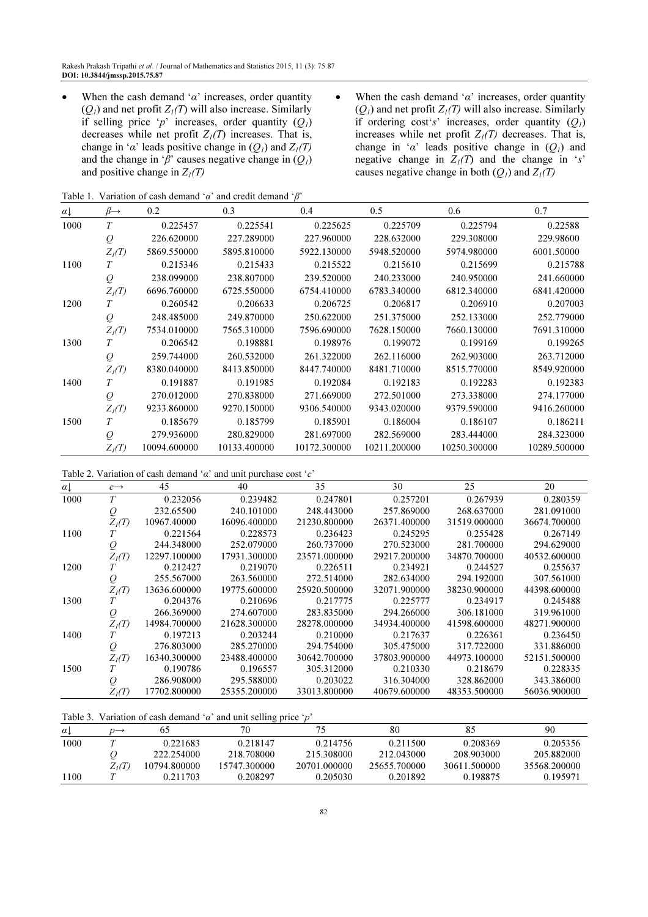- When the cash demand ' $\alpha$ ' increases, order quantity  $(Q_1)$  and net profit  $Z_1(T)$  will also increase. Similarly if selling price 'p' increases, order quantity  $(Q_1)$ decreases while net profit  $Z_l(T)$  increases. That is, change in ' $\alpha$ ' leads positive change in  $(Q_1)$  and  $Z_1(T)$ and the change in ' $\beta$ ' causes negative change in  $(Q_1)$ and positive change in  $Z_I(T)$
- When the cash demand ' $\alpha$ ' increases, order quantity  $(Q<sub>1</sub>)$  and net profit  $Z<sub>1</sub>(T)$  will also increase. Similarly if ordering cost's' increases, order quantity  $(Q_1)$ increases while net profit  $Z_I(T)$  decreases. That is, change in ' $\alpha$ ' leads positive change in  $(Q_1)$  and negative change in  $Z_1(T)$  and the change in 's' causes negative change in both  $(Q_1)$  and  $Z_1(T)$

Table 1. Variation of cash demand ' $\alpha$ ' and credit demand ' $\beta$ '

| $\alpha \downarrow$ | $\beta \rightarrow$ | 0.2          | 0.3          | 0.4          | 0.5          | 0.6          | 0.7          |
|---------------------|---------------------|--------------|--------------|--------------|--------------|--------------|--------------|
| 1000                | T                   | 0.225457     | 0.225541     | 0.225625     | 0.225709     | 0.225794     | 0.22588      |
|                     | $\varrho$           | 226.620000   | 227.289000   | 227.960000   | 228.632000   | 229.308000   | 229.98600    |
|                     | $Z_I(T)$            | 5869.550000  | 5895.810000  | 5922.130000  | 5948.520000  | 5974.980000  | 6001.50000   |
| 1100                | T                   | 0.215346     | 0.215433     | 0.215522     | 0.215610     | 0.215699     | 0.215788     |
|                     | $\varrho$           | 238.099000   | 238.807000   | 239.520000   | 240.233000   | 240.950000   | 241.660000   |
|                     | $Z_I(T)$            | 6696.760000  | 6725.550000  | 6754.410000  | 6783.340000  | 6812.340000  | 6841.420000  |
| 1200                | T                   | 0.260542     | 0.206633     | 0.206725     | 0.206817     | 0.206910     | 0.207003     |
|                     | $\varrho$           | 248.485000   | 249.870000   | 250.622000   | 251.375000   | 252.133000   | 252.779000   |
|                     | $Z_I(T)$            | 7534.010000  | 7565.310000  | 7596.690000  | 7628.150000  | 7660.130000  | 7691.310000  |
| 1300                | T                   | 0.206542     | 0.198881     | 0.198976     | 0.199072     | 0.199169     | 0.199265     |
|                     | $\varrho$           | 259.744000   | 260.532000   | 261.322000   | 262.116000   | 262.903000   | 263.712000   |
|                     | $Z_I(T)$            | 8380.040000  | 8413.850000  | 8447.740000  | 8481.710000  | 8515.770000  | 8549.920000  |
| 1400                | T                   | 0.191887     | 0.191985     | 0.192084     | 0.192183     | 0.192283     | 0.192383     |
|                     | $\varrho$           | 270.012000   | 270.838000   | 271.669000   | 272.501000   | 273.338000   | 274.177000   |
|                     | $Z_I(T)$            | 9233.860000  | 9270.150000  | 9306.540000  | 9343.020000  | 9379.590000  | 9416.260000  |
| 1500                | T                   | 0.185679     | 0.185799     | 0.185901     | 0.186004     | 0.186107     | 0.186211     |
|                     | $\varrho$           | 279.936000   | 280.829000   | 281.697000   | 282.569000   | 283.444000   | 284.323000   |
|                     | $Z_i(T)$            | 10094.600000 | 10133.400000 | 10172.300000 | 10211.200000 | 10250.300000 | 10289.500000 |

| Table 2. Variation of cash demand ' $\alpha$ ' and unit purchase cost 'c' |  |  |
|---------------------------------------------------------------------------|--|--|
|---------------------------------------------------------------------------|--|--|

| $\alpha$ | $c \rightarrow$ | 45           | 40           | 35           | 30           | 25           | 20           |
|----------|-----------------|--------------|--------------|--------------|--------------|--------------|--------------|
| 1000     | T               | 0.232056     | 0.239482     | 0.247801     | 0.257201     | 0.267939     | 0.280359     |
|          | $\varrho$       | 232.65500    | 240.101000   | 248.443000   | 257.869000   | 268.637000   | 281.091000   |
|          | $Z_i(T)$        | 10967.40000  | 16096.400000 | 21230.800000 | 26371.400000 | 31519.000000 | 36674.700000 |
| 1100     |                 | 0.221564     | 0.228573     | 0.236423     | 0.245295     | 0.255428     | 0.267149     |
|          | Q               | 244.348000   | 252.079000   | 260.737000   | 270.523000   | 281.700000   | 294.629000   |
|          | $Z_I(T)$        | 12297.100000 | 17931.300000 | 23571.000000 | 29217.200000 | 34870.700000 | 40532.600000 |
| 1200     |                 | 0.212427     | 0.219070     | 0.226511     | 0.234921     | 0.244527     | 0.255637     |
|          | Q               | 255.567000   | 263.560000   | 272.514000   | 282.634000   | 294.192000   | 307.561000   |
|          | $Z_i(T)$        | 13636.600000 | 19775.600000 | 25920.500000 | 32071.900000 | 38230.900000 | 44398.600000 |
| 1300     |                 | 0.204376     | 0.210696     | 0.217775     | 0.225777     | 0.234917     | 0.245488     |
|          | Q               | 266.369000   | 274.607000   | 283.835000   | 294.266000   | 306.181000   | 319.961000   |
|          | $Z_i(T)$        | 14984.700000 | 21628.300000 | 28278.000000 | 34934.400000 | 41598.600000 | 48271.900000 |
| 1400     |                 | 0.197213     | 0.203244     | 0.210000     | 0.217637     | 0.226361     | 0.236450     |
|          | Q               | 276.803000   | 285.270000   | 294.754000   | 305.475000   | 317.722000   | 331.886000   |
|          | $Z_i(T)$        | 16340.300000 | 23488.400000 | 30642.700000 | 37803.900000 | 44973.100000 | 52151.500000 |
| 1500     |                 | 0.190786     | 0.196557     | 305.312000   | 0.210330     | 0.218679     | 0.228335     |
|          | Q               | 286.908000   | 295.588000   | 0.203022     | 316.304000   | 328.862000   | 343.386000   |
|          | $Z_i(T)$        | 17702.800000 | 25355.200000 | 33013.800000 | 40679.600000 | 48353.500000 | 56036.900000 |

| Table 3. Variation of cash demand ' $\alpha$ ' and unit selling price 'p' |                 |              |              |              |              |              |              |  |
|---------------------------------------------------------------------------|-----------------|--------------|--------------|--------------|--------------|--------------|--------------|--|
| $\alpha$                                                                  | $n \rightarrow$ | 6C           | 70           |              | 80           | 85           | 90           |  |
| 1000                                                                      |                 | 0.221683     | 0.218147     | 0.214756     | 0.211500     | 0.208369     | 0.205356     |  |
|                                                                           |                 | 222.254000   | 218.708000   | 215.308000   | 212.043000   | 208.903000   | 205.882000   |  |
|                                                                           | $Z_i(T)$        | 10794.800000 | 15747.300000 | 20701.000000 | 25655.700000 | 30611.500000 | 35568.200000 |  |
| 100                                                                       |                 | 0.211703     | 0.208297     | 0.205030     | 0.201892     | 0.198875     | 0.195971     |  |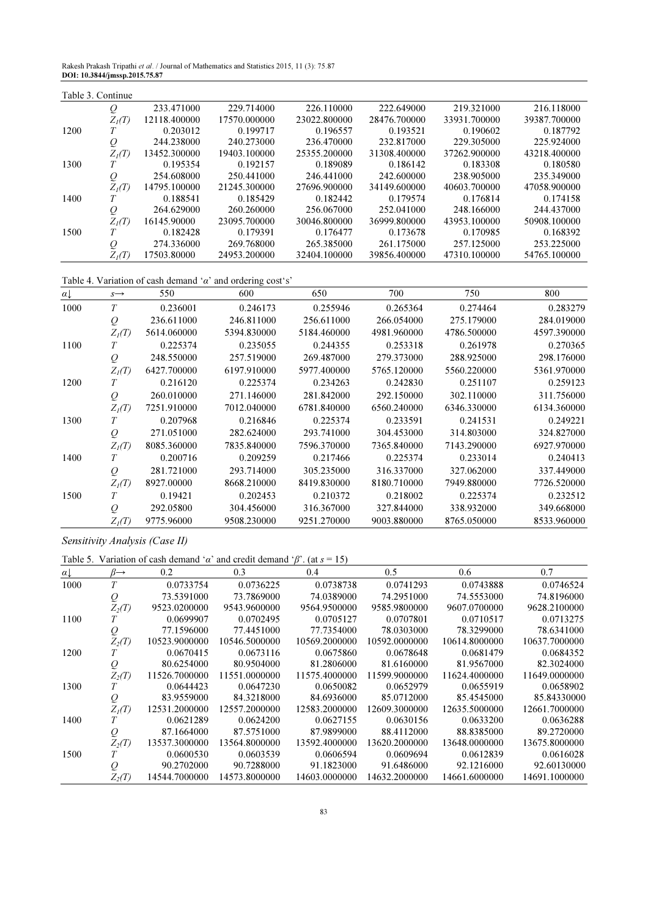Rakesh Prakash Tripathi et al. / Journal of Mathematics and Statistics 2015, 11 (3): 75.87 DOI: 10.3844/jmssp.2015.75.87

| Table 3. Continue |          |              |              |              |              |              |              |
|-------------------|----------|--------------|--------------|--------------|--------------|--------------|--------------|
|                   | Q        | 233.471000   | 229.714000   | 226.110000   | 222.649000   | 219.321000   | 216.118000   |
|                   | $Z_i(T)$ | 12118.400000 | 17570.000000 | 23022.800000 | 28476.700000 | 33931.700000 | 39387.700000 |
| 1200              |          | 0.203012     | 0.199717     | 0.196557     | 0.193521     | 0.190602     | 0.187792     |
|                   | Q        | 244.238000   | 240.273000   | 236.470000   | 232.817000   | 229.305000   | 225.924000   |
|                   | $Z_i(T)$ | 13452.300000 | 19403.100000 | 25355.200000 | 31308.400000 | 37262.900000 | 43218.400000 |
| 1300              |          | 0.195354     | 0.192157     | 0.189089     | 0.186142     | 0.183308     | 0.180580     |
|                   | Q        | 254.608000   | 250.441000   | 246.441000   | 242.600000   | 238.905000   | 235.349000   |
|                   | $Z_i(T)$ | 14795.100000 | 21245.300000 | 27696.900000 | 34149.600000 | 40603.700000 | 47058.900000 |
| 1400              |          | 0.188541     | 0.185429     | 0.182442     | 0.179574     | 0.176814     | 0.174158     |
|                   | Q        | 264.629000   | 260.260000   | 256.067000   | 252.041000   | 248.166000   | 244.437000   |
|                   | $Z_i(T)$ | 16145.90000  | 23095.700000 | 30046.800000 | 36999.800000 | 43953.100000 | 50908.100000 |
| 1500              |          | 0.182428     | 0.179391     | 0.176477     | 0.173678     | 0.170985     | 0.168392     |
|                   | Q        | 274.336000   | 269.768000   | 265.385000   | 261.175000   | 257.125000   | 253.225000   |
|                   | $Z_i(T)$ | 17503.80000  | 24953.200000 | 32404.100000 | 39856.400000 | 47310.100000 | 54765.100000 |

Table 4. Variation of cash demand ' $\alpha$ ' and ordering cost's'

| $\alpha$ | $S \rightarrow$ | 550         | 600         | 650         | 700         | 750         | 800         |
|----------|-----------------|-------------|-------------|-------------|-------------|-------------|-------------|
| 1000     | T               | 0.236001    | 0.246173    | 0.255946    | 0.265364    | 0.274464    | 0.283279    |
|          | $\varrho$       | 236.611000  | 246.811000  | 256.611000  | 266.054000  | 275.179000  | 284.019000  |
|          | $Z_i(T)$        | 5614.060000 | 5394.830000 | 5184.460000 | 4981.960000 | 4786.500000 | 4597.390000 |
| 1100     | T               | 0.225374    | 0.235055    | 0.244355    | 0.253318    | 0.261978    | 0.270365    |
|          | $\varrho$       | 248.550000  | 257.519000  | 269.487000  | 279.373000  | 288.925000  | 298.176000  |
|          | $Z_I(T)$        | 6427.700000 | 6197.910000 | 5977.400000 | 5765.120000 | 5560.220000 | 5361.970000 |
| 1200     |                 | 0.216120    | 0.225374    | 0.234263    | 0.242830    | 0.251107    | 0.259123    |
|          | $\varrho$       | 260.010000  | 271.146000  | 281.842000  | 292.150000  | 302.110000  | 311.756000  |
|          | $Z_i(T)$        | 7251.910000 | 7012.040000 | 6781.840000 | 6560.240000 | 6346.330000 | 6134.360000 |
| 1300     | T               | 0.207968    | 0.216846    | 0.225374    | 0.233591    | 0.241531    | 0.249221    |
|          | $\varrho$       | 271.051000  | 282.624000  | 293.741000  | 304.453000  | 314.803000  | 324.827000  |
|          | $Z_i(T)$        | 8085.360000 | 7835.840000 | 7596.370000 | 7365.840000 | 7143.290000 | 6927.970000 |
| 1400     |                 | 0.200716    | 0.209259    | 0.217466    | 0.225374    | 0.233014    | 0.240413    |
|          | $\varrho$       | 281.721000  | 293.714000  | 305.235000  | 316.337000  | 327.062000  | 337.449000  |
|          | $Z_I(T)$        | 8927.00000  | 8668.210000 | 8419.830000 | 8180.710000 | 7949.880000 | 7726.520000 |
| 1500     | T               | 0.19421     | 0.202453    | 0.210372    | 0.218002    | 0.225374    | 0.232512    |
|          | $\varrho$       | 292.05800   | 304.456000  | 316.367000  | 327.844000  | 338.932000  | 349.668000  |
|          | $Z_I(T)$        | 9775.96000  | 9508.230000 | 9251.270000 | 9003.880000 | 8765.050000 | 8533.960000 |

Sensitivity Analysis (Case II)

Table 5. Variation of cash demand ' $\alpha$ ' and credit demand ' $\beta$ '. (at  $s = 15$ )

| $\alpha$ | $\beta \rightarrow$ | 0.2           | 0.3           | 0.4           | 0.5           | 0.6           | 0.7           |
|----------|---------------------|---------------|---------------|---------------|---------------|---------------|---------------|
| 1000     | T                   | 0.0733754     | 0.0736225     | 0.0738738     | 0.0741293     | 0.0743888     | 0.0746524     |
|          | Q                   | 73.5391000    | 73.7869000    | 74.0389000    | 74.2951000    | 74.5553000    | 74.8196000    |
|          | $Z_2(T)$            | 9523.0200000  | 9543.9600000  | 9564.9500000  | 9585.9800000  | 9607.0700000  | 9628.2100000  |
| 1100     |                     | 0.0699907     | 0.0702495     | 0.0705127     | 0.0707801     | 0.0710517     | 0.0713275     |
|          | Q                   | 77.1596000    | 77.4451000    | 77.7354000    | 78.0303000    | 78.3299000    | 78.6341000    |
|          | $Z_2(T)$            | 10523.9000000 | 10546.5000000 | 10569.2000000 | 10592.0000000 | 10614.8000000 | 10637.7000000 |
| 1200     |                     | 0.0670415     | 0.0673116     | 0.0675860     | 0.0678648     | 0.0681479     | 0.0684352     |
|          | $\varrho$           | 80.6254000    | 80.9504000    | 81.2806000    | 81.6160000    | 81.9567000    | 82.3024000    |
|          | $Z_2(T)$            | 11526.7000000 | 11551.0000000 | 11575.4000000 | 11599.9000000 | 11624.4000000 | 11649.0000000 |
| 1300     |                     | 0.0644423     | 0.0647230     | 0.0650082     | 0.0652979     | 0.0655919     | 0.0658902     |
|          | Q                   | 83.9559000    | 84.3218000    | 84.6936000    | 85.0712000    | 85.4545000    | 85.84330000   |
|          | $Z_I(T)$            | 12531.2000000 | 12557.2000000 | 12583.2000000 | 12609.3000000 | 12635.5000000 | 12661.7000000 |
| 1400     |                     | 0.0621289     | 0.0624200     | 0.0627155     | 0.0630156     | 0.0633200     | 0.0636288     |
|          | $\varrho$           | 87.1664000    | 87.5751000    | 87.9899000    | 88.4112000    | 88.8385000    | 89.2720000    |
|          | $Z_2(T)$            | 13537.3000000 | 13564.8000000 | 13592.4000000 | 13620.2000000 | 13648.0000000 | 13675.8000000 |
| 1500     | Т                   | 0.0600530     | 0.0603539     | 0.0606594     | 0.0609694     | 0.0612839     | 0.0616028     |
|          | Q                   | 90.2702000    | 90.7288000    | 91.1823000    | 91.6486000    | 92.1216000    | 92.60130000   |
|          | $Z_2(T)$            | 14544.7000000 | 14573.8000000 | 14603.0000000 | 14632.2000000 | 14661.6000000 | 14691.1000000 |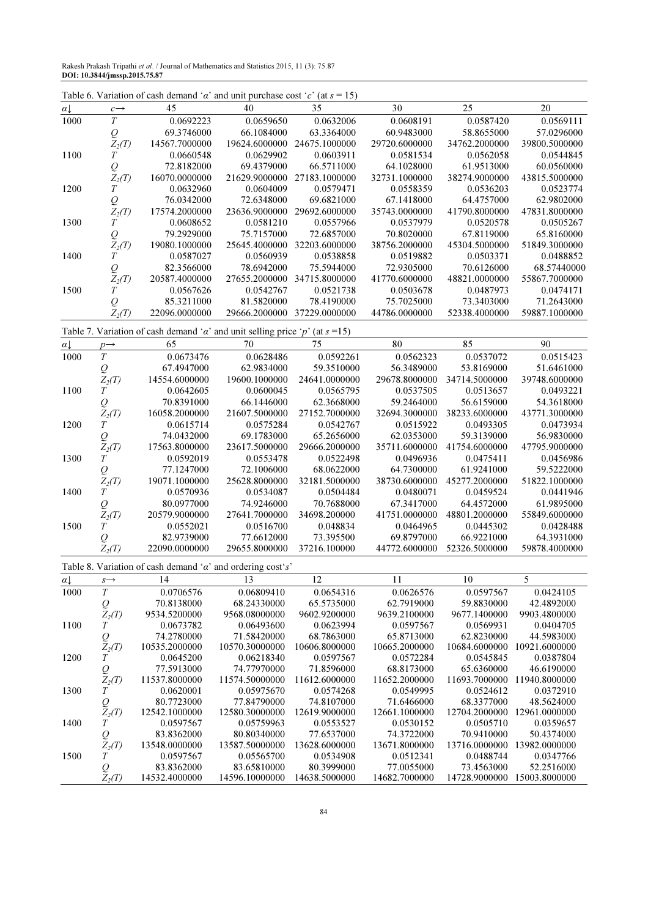Rakesh Prakash Tripathi et al. / Journal of Mathematics and Statistics 2015, 11 (3): 75.87 DOI: 10.3844/jmssp.2015.75.87

|                     |                                        | Table 6. Variation of cash demand ' $\alpha$ ' and unit purchase cost 'c' (at $s = 15$ ) |                               |                             |                             |                             |                             |
|---------------------|----------------------------------------|------------------------------------------------------------------------------------------|-------------------------------|-----------------------------|-----------------------------|-----------------------------|-----------------------------|
| $a\downarrow$       | $c \rightarrow$                        | 45                                                                                       | 40                            | 35                          | 30                          | 25                          | 20                          |
| 1000                | $\cal T$                               | 0.0692223                                                                                | 0.0659650                     | 0.0632006                   | 0.0608191                   | 0.0587420                   | 0.0569111                   |
|                     |                                        | 69.3746000                                                                               | 66.1084000                    | 63.3364000                  | 60.9483000                  | 58.8655000                  | 57.0296000                  |
|                     | $\mathcal{Q}_{Z_2(T)}$                 | 14567.7000000                                                                            | 19624.6000000                 | 24675.1000000               | 29720.6000000               | 34762.2000000               | 39800.5000000               |
| 1100                | $\overline{T}$                         | 0.0660548                                                                                | 0.0629902                     | 0.0603911                   | 0.0581534                   | 0.0562058                   | 0.0544845                   |
|                     | ${\cal Q}$                             | 72.8182000                                                                               | 69.4379000                    | 66.5711000                  | 64.1028000                  | 61.9513000                  | 60.0560000                  |
|                     | $Z_2(T)$                               | 16070.0000000                                                                            | 21629.9000000                 | 27183.1000000               | 32731.1000000               | 38274.9000000               | 43815.5000000               |
| 1200                | $\cal T$                               | 0.0632960                                                                                | 0.0604009                     | 0.0579471                   | 0.0558359                   | 0.0536203                   | 0.0523774                   |
|                     | ${\cal Q}$                             | 76.0342000                                                                               | 72.6348000                    | 69.6821000                  | 67.1418000                  | 64.4757000                  | 62.9802000                  |
|                     | $Z_2(T)$                               | 17574.2000000                                                                            | 23636.9000000                 | 29692.6000000               | 35743.0000000               | 41790.8000000               | 47831.8000000               |
| 1300                | T                                      | 0.0608652                                                                                | 0.0581210                     | 0.0557966                   | 0.0537979                   | 0.0520578                   | 0.0505267                   |
|                     | ${\cal Q}$                             | 79.2929000                                                                               | 75.7157000                    | 72.6857000                  | 70.8020000                  | 67.8119000                  | 65.8160000<br>51849.3000000 |
| 1400                | $Z_2(T)$<br>Т                          | 19080.1000000<br>0.0587027                                                               | 25645.4000000<br>0.0560939    | 32203.6000000<br>0.0538858  | 38756.2000000<br>0.0519882  | 45304.5000000<br>0.0503371  | 0.0488852                   |
|                     | $\overline{Q}$                         | 82.3566000                                                                               | 78.6942000                    | 75.5944000                  | 72.9305000                  | 70.6126000                  | 68.57440000                 |
|                     | $Z_2(T)$                               | 20587.4000000                                                                            | 27655.2000000                 | 34715.8000000               | 41770.6000000               | 48821.0000000               | 55867.7000000               |
| 1500                | T                                      | 0.0567626                                                                                | 0.0542767                     | 0.0521738                   | 0.0503678                   | 0.0487973                   | 0.0474171                   |
|                     | $\overline{Q}$                         | 85.3211000                                                                               | 81.5820000                    | 78.4190000                  | 75.7025000                  | 73.3403000                  | 71.2643000                  |
|                     | $Z_2(T)$                               | 22096.0000000                                                                            | 29666.2000000                 | 37229.0000000               | 44786.0000000               | 52338.4000000               | 59887.1000000               |
|                     |                                        | Table 7. Variation of cash demand ' $\alpha$ ' and unit selling price 'p' (at s =15)     |                               |                             |                             |                             |                             |
| $\alpha\downarrow$  | $p \rightarrow$                        | 65                                                                                       | 70                            | 75                          | 80                          | 85                          | 90                          |
| 1000                | $\overline{T}$                         | 0.0673476                                                                                | 0.0628486                     | 0.0592261                   | 0.0562323                   | 0.0537072                   | 0.0515423                   |
|                     | $\mathcal{Q}$                          | 67.4947000                                                                               | 62.9834000                    | 59.3510000                  | 56.3489000                  | 53.8169000                  | 51.6461000                  |
|                     | $Z_2(T)$                               | 14554.6000000                                                                            | 19600.1000000                 | 24641.0000000               | 29678.8000000               | 34714.5000000               | 39748.6000000               |
| 1100                | T                                      | 0.0642605                                                                                | 0.0600045                     | 0.0565795                   | 0.0537505                   | 0.0513657                   | 0.0493221                   |
|                     | $\mathcal{Q}$                          | 70.8391000                                                                               | 66.1446000                    | 62.3668000                  | 59.2464000                  | 56.6159000                  | 54.3618000                  |
|                     | $Z_2(T)$                               | 16058.2000000                                                                            | 21607.5000000                 | 27152.7000000               | 32694.3000000               | 38233.6000000               | 43771.3000000               |
| 1200                | T                                      | 0.0615714                                                                                | 0.0575284                     | 0.0542767                   | 0.0515922                   | 0.0493305                   | 0.0473934                   |
|                     | $\mathcal{Q}$                          | 74.0432000                                                                               | 69.1783000                    | 65.2656000                  | 62.0353000                  | 59.3139000                  | 56.9830000                  |
|                     | $Z_2(T)$                               | 17563.8000000                                                                            | 23617.5000000                 | 29666.2000000               | 35711.6000000               | 41754.6000000               | 47795.9000000               |
| 1300                | Т                                      | 0.0592019                                                                                | 0.0553478                     | 0.0522498                   | 0.0496936                   | 0.0475411                   | 0.0456986                   |
|                     | $\mathcal{Q}$                          | 77.1247000                                                                               | 72.1006000                    | 68.0622000                  | 64.7300000                  | 61.9241000                  | 59.5222000                  |
|                     | $Z_2(T)$                               | 19071.1000000                                                                            | 25628.8000000                 | 32181.5000000               | 38730.6000000               | 45277.2000000               | 51822.1000000               |
| 1400                | T                                      | 0.0570936                                                                                | 0.0534087                     | 0.0504484                   | 0.0480071                   | 0.0459524                   | 0.0441946                   |
|                     | $\overline{Q}$                         | 80.0977000                                                                               | 74.9246000                    | 70.7688000                  | 67.3417000                  | 64.4572000                  | 61.9895000                  |
|                     | $Z_2(T)$                               | 20579.9000000                                                                            | 27641.7000000                 | 34698.200000                | 41751.0000000               | 48801.2000000               | 55849.6000000               |
| 1500                | $\cal T$                               | 0.0552021                                                                                | 0.0516700                     | 0.048834                    | 0.0464965                   | 0.0445302                   | 0.0428488                   |
|                     | $\mathcal{Q}$                          | 82.9739000                                                                               | 77.6612000                    | 73.395500                   | 69.8797000                  | 66.9221000                  | 64.3931000                  |
|                     | $Z_2(T)$                               | 22090.0000000                                                                            | 29655.8000000                 | 37216.100000                | 44772.6000000               | 52326.5000000               | 59878.4000000               |
|                     |                                        | Table 8. Variation of cash demand ' $\alpha$ ' and ordering cost's'                      |                               |                             |                             |                             |                             |
| $\alpha \downarrow$ | $s \rightarrow$                        | 14                                                                                       | 13                            | 12                          | 11                          | 10                          | 5                           |
| 1000                | $\cal T$                               | 0.0706576                                                                                | 0.06809410                    | 0.0654316                   | 0.0626576                   | 0.0597567                   | 0.0424105                   |
|                     | $\mathop{\mathcal{Q}}\limits_{Z_2(T)}$ | 70.8138000                                                                               | 68.24330000                   | 65.5735000                  | 62.7919000                  | 59.8830000                  | 42.4892000                  |
|                     |                                        | 9534.5200000                                                                             | 9568.08000000                 | 9602.9200000                | 9639.2100000                | 9677.1400000                | 9903.4800000                |
| 1100                | $\cal T$                               | 0.0673782                                                                                | 0.06493600                    | 0.0623994                   | 0.0597567                   | 0.0569931                   | 0.0404705                   |
|                     | $\mathcal{Q}_{Z_2(T)}$                 | 74.2780000<br>10535.2000000                                                              | 71.58420000<br>10570.30000000 | 68.7863000<br>10606.8000000 | 65.8713000<br>10665.2000000 | 62.8230000<br>10684.6000000 | 44.5983000<br>10921.6000000 |
| 1200                | $\cal T$                               | 0.0645200                                                                                | 0.06218340                    | 0.0597567                   | 0.0572284                   | 0.0545845                   | 0.0387804                   |
|                     |                                        | 77.5913000                                                                               | 74.77970000                   | 71.8596000                  | 68.8173000                  | 65.6360000                  | 46.6190000                  |
|                     | $\mathcal{Q}_{Z_2(T)}$                 | 11537.8000000                                                                            | 11574.50000000                | 11612.6000000               | 11652.2000000               | 11693.7000000               | 11940.8000000               |
| 1300                | $\cal T$                               | 0.0620001                                                                                | 0.05975670                    | 0.0574268                   | 0.0549995                   | 0.0524612                   | 0.0372910                   |
|                     |                                        | 80.7723000                                                                               | 77.84790000                   | 74.8107000                  | 71.6466000                  | 68.3377000                  | 48.5624000                  |
|                     | $\mathcal{Q}_{Z_2(T)}$                 | 12542.1000000                                                                            | 12580.30000000                | 12619.9000000               | 12661.1000000               | 12704.2000000               | 12961.0000000               |
| 1400                | $\cal T$                               | 0.0597567                                                                                | 0.05759963                    | 0.0553527                   | 0.0530152                   | 0.0505710                   | 0.0359657                   |
|                     | $\mathcal{Q}_{Z_2(T)}$                 | 83.8362000                                                                               | 80.80340000                   | 77.6537000                  | 74.3722000                  | 70.9410000                  | 50.4374000                  |
|                     |                                        | 13548.0000000                                                                            | 13587.50000000                | 13628.6000000               | 13671.8000000               | 13716.0000000               | 13982.0000000               |
| 1500                | $\boldsymbol{T}$                       | 0.0597567                                                                                | 0.05565700                    | 0.0534908                   | 0.0512341                   | 0.0488744                   | 0.0347766                   |
|                     | $\mathcal{Q}$                          | 83.8362000                                                                               | 83.65810000                   | 80.3999000                  | 77.0055000                  | 73.4563000                  | 52.2516000                  |
|                     | $Z_2(T)$                               | 14532.4000000                                                                            | 14596.10000000                | 14638.5000000               | 14682.7000000               | 14728.9000000               | 15003.8000000               |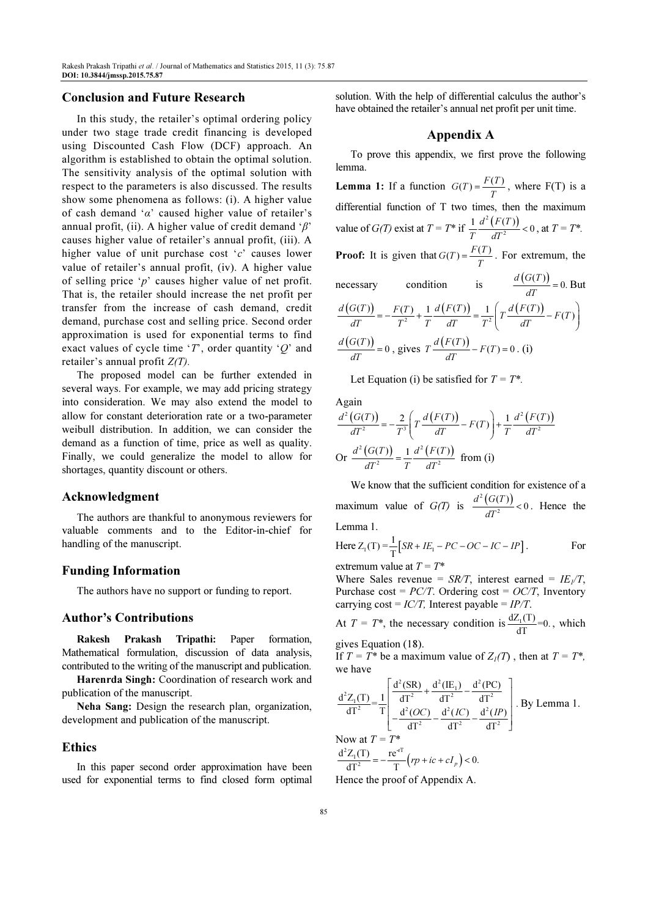#### Conclusion and Future Research

In this study, the retailer's optimal ordering policy under two stage trade credit financing is developed using Discounted Cash Flow (DCF) approach. An algorithm is established to obtain the optimal solution. The sensitivity analysis of the optimal solution with respect to the parameters is also discussed. The results show some phenomena as follows: (i). A higher value of cash demand ' $\alpha$ ' caused higher value of retailer's annual profit, (ii). A higher value of credit demand ' $\beta$ ' causes higher value of retailer's annual profit, (iii). A higher value of unit purchase cost 'c' causes lower value of retailer's annual profit, (iv). A higher value of selling price ' $p$ ' causes higher value of net profit. That is, the retailer should increase the net profit per transfer from the increase of cash demand, credit demand, purchase cost and selling price. Second order approximation is used for exponential terms to find exact values of cycle time 'T', order quantity ' $Q$ ' and retailer's annual profit  $Z(T)$ .

The proposed model can be further extended in several ways. For example, we may add pricing strategy into consideration. We may also extend the model to allow for constant deterioration rate or a two-parameter weibull distribution. In addition, we can consider the demand as a function of time, price as well as quality. Finally, we could generalize the model to allow for shortages, quantity discount or others.

#### Acknowledgment

The authors are thankful to anonymous reviewers for valuable comments and to the Editor-in-chief for handling of the manuscript.

#### Funding Information

The authors have no support or funding to report.

## Author's Contributions

Rakesh Prakash Tripathi: Paper formation, Mathematical formulation, discussion of data analysis, contributed to the writing of the manuscript and publication.

Harenrda Singh: Coordination of research work and publication of the manuscript.

Neha Sang: Design the research plan, organization, development and publication of the manuscript.

#### Ethics

In this paper second order approximation have been used for exponential terms to find closed form optimal solution. With the help of differential calculus the author's have obtained the retailer's annual net profit per unit time.

#### Appendix A

To prove this appendix, we first prove the following lemma. **Lemma 1:** If a function  $G(T) = \frac{F(T)}{T}$ , where F(T) is a differential function of T two times, then the maximum value of  $G(T)$  exist at  $T = T^*$  if  $\frac{1}{T} \frac{d^2 (F(T))}{T^2}$  $\frac{1}{T} \frac{d^2 (F(T))}{m^2} < 0$  $d^2$  (F(T)  $\frac{T}{T} \frac{d(T(T))}{dT^2} < 0$ , at  $T = T^*$ . **Proof:** It is given that  $G(T) = \frac{F(T)}{T}$ . For extremum, the necessary condition is  $\frac{d(G(T))}{T} = 0$ .  $d$  (G(T)  $\frac{\partial (P)}{\partial T} = 0.$  But  $\frac{d(G(T))}{dT} = -\frac{F(T)}{T^2} + \frac{1}{T}\frac{d(F(T))}{dT} = \frac{1}{T^2}\left(T\frac{d(F(T))}{dT} - F(T)\right)$  $=-\frac{F(T)}{2}+\frac{1}{2}\frac{d(F(T))}{dt}=\frac{1}{2}\left(T\frac{d(F(T))}{F(T)}-F(T)\right)$  $\begin{pmatrix} dT & \\ & dT & \end{pmatrix}$  $\frac{(G(T))}{T} = 0$  $d$  (G(T)  $\frac{G(T)}{dT}$  = 0, gives  $T \frac{d(F(T))}{dT}$  –  $F(T)$  = 0  $T\frac{d(F(T))}{dT} - F(T) = 0$ . (i)

Let Equation (i) be satisfied for  $T = T^*$ .

Again

$$
\frac{d^2(G(T))}{dT^2} = -\frac{2}{T^3} \left( T \frac{d(F(T))}{dT} - F(T) \right) + \frac{1}{T} \frac{d^2(F(T))}{dT^2}
$$
  
Or 
$$
\frac{d^2(G(T))}{dT^2} = \frac{1}{T} \frac{d^2(F(T))}{dT^2}
$$
 from (i)

We know that the sufficient condition for existence of a maximum value of  $G(T)$  is  $\frac{d^2(G(T))}{T^2}$  $\frac{(T)}{2}<0$  $d^2$  (G(T)  $\frac{(\Theta(1))}{dT^2}$  < 0. Hence the Lemma 1.

Here 
$$
Z_1(T) = \frac{1}{T} [SR + IE_1 - PC - OC - IC - IP]
$$
. For

extremum value at  $T = T^*$ 

Where Sales revenue =  $SR/T$ , interest earned =  $IE_1/T$ , Purchase cost =  $PC/T$ . Ordering cost =  $OC/T$ , Inventory carrying  $\text{cost} = \text{IC/T}$ , Interest payable =  $\text{IP/T}$ .

At 
$$
T = T^*
$$
, the necessary condition is  $\frac{dZ_1(T)}{dT} = 0$ , which

gives Equation (18).

If  $T = T^*$  be a maximum value of  $Z_1(T)$ , then at  $T = T^*$ , we have

$$
\frac{d^2 Z_1(T)}{dT^2} = \frac{1}{T} \left[ \frac{\frac{d^2 (SR)}{dT^2} + \frac{d^2 (IE_1)}{dT^2} - \frac{d^2 (PC)}{dT^2}}{\frac{d^2 (OC)}{dT^2} - \frac{d^2 (IC)}{dT^2}} - \frac{d^2 (IP)}{dT^2}} \right].
$$
 By Lemma 1.  
\nNow at  $T = T^*$   
\n
$$
\frac{d^2 Z_1(T)}{dT^2} = -\frac{re^{AT}}{T} (rp + ic + cI_p) < 0.
$$

Hence the proof of Appendix A.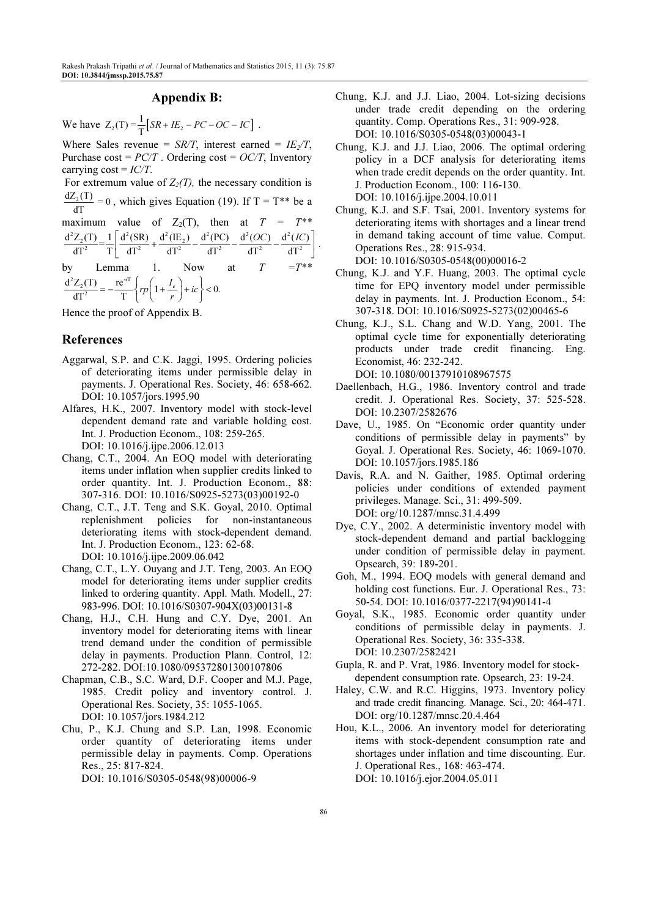## Appendix B:

We have  $Z_2(T) = \frac{1}{T} [SR + IE_2 - PC - OC - IC]$ .

Where Sales revenue =  $SR/T$ , interest earned =  $IE_2/T$ , Purchase  $\text{cost} = \frac{PC}{T}$ . Ordering  $\text{cost} = \frac{OC}{T}$ , Inventory carrying  $\text{cost} = \text{IC}/\text{T}$ .

For extremum value of  $Z_2(T)$ , the necessary condition is  $\frac{dZ_2(T)}{dT} = 0$ , which gives Equation (19). If T = T<sup>\*\*</sup> be a maximum value of  $Z_2(T)$ , then at  $T = T^{**}$  $\frac{d^2 Z_2(T)}{dT^2} = \frac{1}{T} \left[ \frac{d^2(SR)}{dT^2} + \frac{d^2(IE_2)}{dT^2} - \frac{d^2(PC)}{dT^2} - \frac{d^2(OC)}{dT^2} - \frac{d^2(IC)}{dT^2} \right].$  $\left[ \frac{d^2(SR)}{dT^2} + \frac{d^2(IE_2)}{dT^2} - \frac{d^2(PC)}{dT^2} - \frac{d^2(OC)}{dT^2} - \frac{d^2(IC)}{dT^2} \right]$ Lemma 1. Now at  $T = T^{**}$ 

 $\frac{d^2 Z_2(T)}{dT^2} = -\frac{re^{-T}}{T} \left\{ rp \left( 1 + \frac{I_e}{r} \right) + ic \right\} < 0.$  $rp\left(1+\frac{I_e}{r}\right)+ic$  $=-\frac{re^{-rT}}{T}\left\{rp\left(1+\frac{I_e}{r}\right)+ic\right\}<$ 

Hence the proof of Appendix B.

## References

- Aggarwal, S.P. and C.K. Jaggi, 1995. Ordering policies of deteriorating items under permissible delay in payments. J. Operational Res. Society, 46: 658-662. DOI: 10.1057/jors.1995.90
- Alfares, H.K., 2007. Inventory model with stock-level dependent demand rate and variable holding cost. Int. J. Production Econom., 108: 259-265. DOI: 10.1016/j.ijpe.2006.12.013
- Chang, C.T., 2004. An EOQ model with deteriorating items under inflation when supplier credits linked to order quantity. Int. J. Production Econom., 88: 307-316. DOI: 10.1016/S0925-5273(03)00192-0
- Chang, C.T., J.T. Teng and S.K. Goyal, 2010. Optimal replenishment policies for non-instantaneous deteriorating items with stock-dependent demand. Int. J. Production Econom., 123: 62-68. DOI: 10.1016/j.ijpe.2009.06.042
- Chang, C.T., L.Y. Ouyang and J.T. Teng, 2003. An EOQ model for deteriorating items under supplier credits linked to ordering quantity. Appl. Math. Modell., 27: 983-996. DOI: 10.1016/S0307-904X(03)00131-8
- Chang, H.J., C.H. Hung and C.Y. Dye, 2001. An inventory model for deteriorating items with linear trend demand under the condition of permissible delay in payments. Production Plann. Control, 12: 272-282. DOI:10.1080/095372801300107806
- Chapman, C.B., S.C. Ward, D.F. Cooper and M.J. Page, 1985. Credit policy and inventory control. J. Operational Res. Society, 35: 1055-1065. DOI: 10.1057/jors.1984.212
- Chu, P., K.J. Chung and S.P. Lan, 1998. Economic order quantity of deteriorating items under permissible delay in payments. Comp. Operations Res., 25: 817-824. DOI: 10.1016/S0305-0548(98)00006-9
- Chung, K.J. and J.J. Liao, 2004. Lot-sizing decisions under trade credit depending on the ordering quantity. Comp. Operations Res., 31: 909-928. DOI: 10.1016/S0305-0548(03)00043-1
- Chung, K.J. and J.J. Liao, 2006. The optimal ordering policy in a DCF analysis for deteriorating items when trade credit depends on the order quantity. Int. J. Production Econom., 100: 116-130. DOI: 10.1016/j.ijpe.2004.10.011
- Chung, K.J. and S.F. Tsai, 2001. Inventory systems for deteriorating items with shortages and a linear trend in demand taking account of time value. Comput. Operations Res., 28: 915-934. DOI: 10.1016/S0305-0548(00)00016-2
- Chung, K.J. and Y.F. Huang, 2003. The optimal cycle time for EPQ inventory model under permissible delay in payments. Int. J. Production Econom., 54: 307-318. DOI: 10.1016/S0925-5273(02)00465-6
- Chung, K.J., S.L. Chang and W.D. Yang, 2001. The optimal cycle time for exponentially deteriorating products under trade credit financing. Eng. Economist, 46: 232-242. DOI: 10.1080/00137910108967575
- Daellenbach, H.G., 1986. Inventory control and trade credit. J. Operational Res. Society, 37: 525-528. DOI: 10.2307/2582676
- Dave, U., 1985. On "Economic order quantity under conditions of permissible delay in payments" by Goyal. J. Operational Res. Society, 46: 1069-1070. DOI: 10.1057/jors.1985.186
- Davis, R.A. and N. Gaither, 1985. Optimal ordering policies under conditions of extended payment privileges. Manage. Sci., 31: 499-509. DOI: org/10.1287/mnsc.31.4.499
- Dye, C.Y., 2002. A deterministic inventory model with stock-dependent demand and partial backlogging under condition of permissible delay in payment. Opsearch, 39: 189-201.
- Goh, M., 1994. EOQ models with general demand and holding cost functions. Eur. J. Operational Res., 73: 50-54. DOI: 10.1016/0377-2217(94)90141-4
- Goyal, S.K., 1985. Economic order quantity under conditions of permissible delay in payments. J. Operational Res. Society, 36: 335-338. DOI: 10.2307/2582421
- Gupla, R. and P. Vrat, 1986. Inventory model for stock dependent consumption rate. Opsearch, 23: 19-24.
- Haley, C.W. and R.C. Higgins, 1973. Inventory policy and trade credit financing. Manage. Sci., 20: 464-471. DOI: org/10.1287/mnsc.20.4.464
- Hou, K.L., 2006. An inventory model for deteriorating items with stock-dependent consumption rate and shortages under inflation and time discounting. Eur. J. Operational Res., 168: 463-474. DOI: 10.1016/j.ejor.2004.05.011